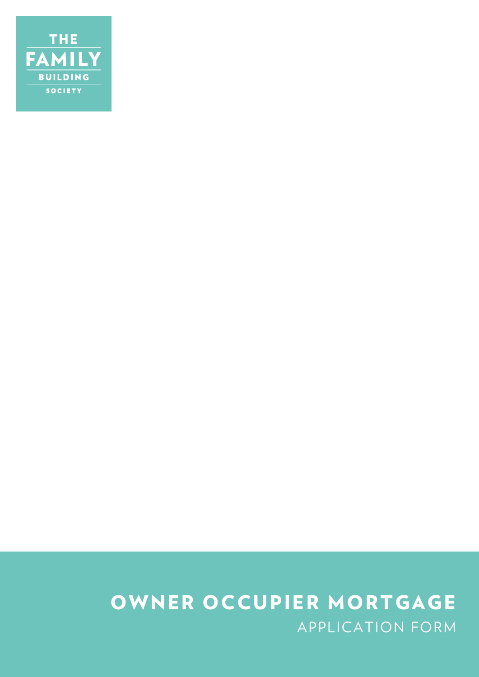

# APPLICATION FORM OWNER OCCUPIER MORTGAGE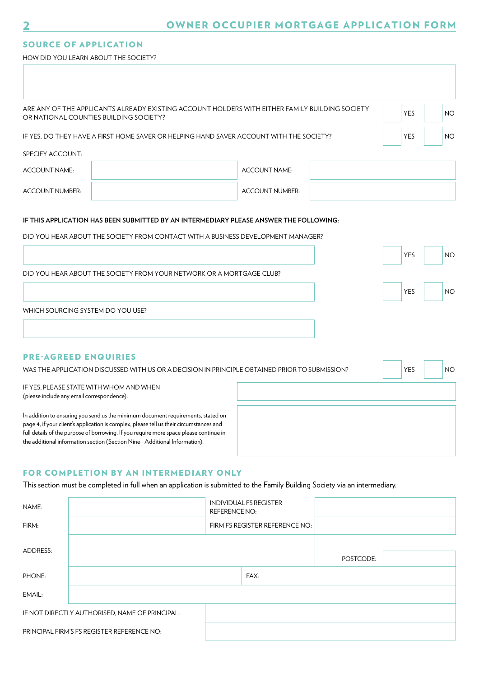#### SOURCE OF APPLICATION

HOW DID YOU LEARN ABOUT THE SOCIETY?

|                                                                                         | ARE ANY OF THE APPLICANTS ALREADY EXISTING ACCOUNT HOLDERS WITH EITHER FAMILY BUILDING SOCIETY<br>OR NATIONAL COUNTIES BUILDING SOCIETY?                                                                                                                                                                                                             |                      |                                | <b>YES</b> | <b>NO</b> |
|-----------------------------------------------------------------------------------------|------------------------------------------------------------------------------------------------------------------------------------------------------------------------------------------------------------------------------------------------------------------------------------------------------------------------------------------------------|----------------------|--------------------------------|------------|-----------|
| IF YES, DO THEY HAVE A FIRST HOME SAVER OR HELPING HAND SAVER ACCOUNT WITH THE SOCIETY? | <b>YES</b>                                                                                                                                                                                                                                                                                                                                           | NO                   |                                |            |           |
| SPECIFY ACCOUNT:                                                                        |                                                                                                                                                                                                                                                                                                                                                      |                      |                                |            |           |
| <b>ACCOUNT NAME:</b>                                                                    |                                                                                                                                                                                                                                                                                                                                                      |                      | ACCOUNT NAME:                  |            |           |
| <b>ACCOUNT NUMBER:</b>                                                                  |                                                                                                                                                                                                                                                                                                                                                      |                      | <b>ACCOUNT NUMBER:</b>         |            |           |
|                                                                                         | IF THIS APPLICATION HAS BEEN SUBMITTED BY AN INTERMEDIARY PLEASE ANSWER THE FOLLOWING:                                                                                                                                                                                                                                                               |                      |                                |            |           |
|                                                                                         | DID YOU HEAR ABOUT THE SOCIETY FROM CONTACT WITH A BUSINESS DEVELOPMENT MANAGER?                                                                                                                                                                                                                                                                     |                      |                                |            |           |
|                                                                                         |                                                                                                                                                                                                                                                                                                                                                      |                      |                                | <b>YES</b> | <b>NO</b> |
|                                                                                         | DID YOU HEAR ABOUT THE SOCIETY FROM YOUR NETWORK OR A MORTGAGE CLUB?                                                                                                                                                                                                                                                                                 |                      |                                |            |           |
|                                                                                         |                                                                                                                                                                                                                                                                                                                                                      |                      |                                | <b>YES</b> | <b>NO</b> |
|                                                                                         | WHICH SOURCING SYSTEM DO YOU USE?                                                                                                                                                                                                                                                                                                                    |                      |                                |            |           |
|                                                                                         |                                                                                                                                                                                                                                                                                                                                                      |                      |                                |            |           |
|                                                                                         |                                                                                                                                                                                                                                                                                                                                                      |                      |                                |            |           |
| <b>PRE-AGREED ENQUIRIES</b>                                                             | WAS THE APPLICATION DISCUSSED WITH US OR A DECISION IN PRINCIPLE OBTAINED PRIOR TO SUBMISSION?                                                                                                                                                                                                                                                       |                      |                                | <b>YES</b> | <b>NO</b> |
| (please include any email correspondence):                                              | IF YES. PLEASE STATE WITH WHOM AND WHEN                                                                                                                                                                                                                                                                                                              |                      |                                |            |           |
|                                                                                         | In addition to ensuring you send us the minimum document requirements, stated on<br>page 4, if your client's application is complex, please tell us their circumstances and<br>full details of the purpose of borrowing. If you require more space please continue in<br>the additional information section (Section Nine - Additional Information). |                      |                                |            |           |
|                                                                                         | FOR COMPLETION BY AN INTERMEDIARY ONLY                                                                                                                                                                                                                                                                                                               |                      |                                |            |           |
|                                                                                         | This section must be completed in full when an application is submitted to the Family Building Society via an intermediary.                                                                                                                                                                                                                          |                      |                                |            |           |
| NAME:                                                                                   |                                                                                                                                                                                                                                                                                                                                                      | <b>REFERENCE NO:</b> | <b>INDIVIDUAL FS REGISTER</b>  |            |           |
| FIRM:                                                                                   |                                                                                                                                                                                                                                                                                                                                                      |                      | FIRM FS REGISTER REFERENCE NO: |            |           |

| ADDRESS: |                                                |      |           |  |
|----------|------------------------------------------------|------|-----------|--|
|          |                                                |      | POSTCODE: |  |
| PHONE:   |                                                | FAX: |           |  |
| EMAIL:   |                                                |      |           |  |
|          | IF NOT DIRECTLY AUTHORISED, NAME OF PRINCIPAL: |      |           |  |
|          | PRINCIPAL FIRM'S FS REGISTER REFERENCE NO:     |      |           |  |

2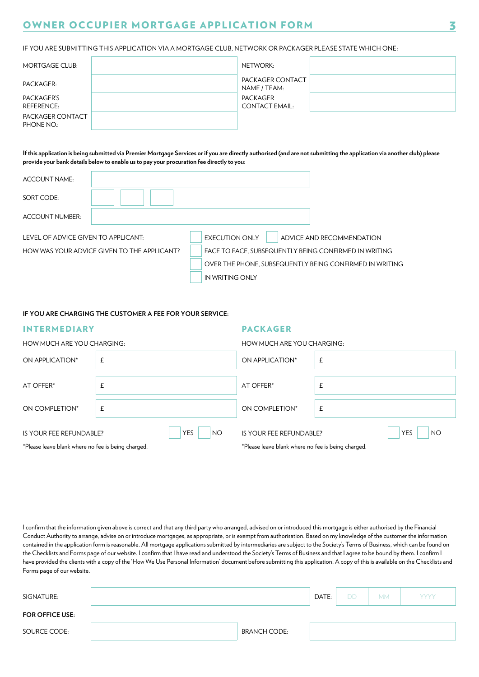IF YOU ARE SUBMITTING THIS APPLICATION VIA A MORTGAGE CLUB, NETWORK OR PACKAGER PLEASE STATE WHICH ONE:

| <b>MORTGAGE CLUB:</b>           | NETWORK:                          |
|---------------------------------|-----------------------------------|
| PACKAGER:                       | PACKAGER CONTACT<br>NAME / TEAM:  |
| PACKAGER'S<br><b>REFERENCE:</b> | PACKAGER<br><b>CONTACT EMAIL:</b> |
| PACKAGER CONTACT<br>PHONE NO.:  |                                   |

**If this application is being submitted via Premier Mortgage Services or if you are directly authorised (and are not submitting the application via another club) please provide your bank details below to enable us to pay your procuration fee directly to you:** 

| ACCOUNT NAME:                       |                                             |                                                         |                           |
|-------------------------------------|---------------------------------------------|---------------------------------------------------------|---------------------------|
| SORT CODE:                          |                                             |                                                         |                           |
| <b>ACCOUNT NUMBER:</b>              |                                             |                                                         |                           |
| LEVEL OF ADVICE GIVEN TO APPLICANT: |                                             | <b>EXECUTION ONLY</b>                                   | ADVICE AND RECOMMENDATION |
|                                     | HOW WAS YOUR ADVICE GIVEN TO THE APPLICANT? | FACE TO FACE, SUBSEQUENTLY BEING CONFIRMED IN WRITING   |                           |
|                                     |                                             | OVER THE PHONE, SUBSEQUENTLY BEING CONFIRMED IN WRITING |                           |
|                                     |                                             | IN WRITING ONLY                                         |                           |

**IF YOU ARE CHARGING THE CUSTOMER A FEE FOR YOUR SERVICE:** 

| <b>INTERMEDIARY</b>                                                           |                   | <b>PACKAGER</b>                                                               |                         |
|-------------------------------------------------------------------------------|-------------------|-------------------------------------------------------------------------------|-------------------------|
| HOW MUCH ARE YOU CHARGING:                                                    |                   | HOW MUCH ARE YOU CHARGING:                                                    |                         |
| ON APPLICATION*                                                               | £                 | ON APPLICATION*                                                               | £                       |
| AT OFFER*                                                                     | £                 | AT OFFER*                                                                     | £                       |
| ON COMPLETION*                                                                | £                 | ON COMPLETION*                                                                | £                       |
| IS YOUR FEE REFUNDABLE?<br>*Please leave blank where no fee is being charged. | <b>YES</b><br>NO. | IS YOUR FEE REFUNDABLE?<br>*Please leave blank where no fee is being charged. | <b>YES</b><br><b>NO</b> |

I confirm that the information given above is correct and that any third party who arranged, advised on or introduced this mortgage is either authorised by the Financial Conduct Authority to arrange, advise on or introduce mortgages, as appropriate, or is exempt from authorisation. Based on my knowledge of the customer the information contained in the application form is reasonable. All mortgage applications submitted by intermediaries are subject to the Society's Terms of Business, which can be found on the Checklists and Forms page of our website. I confirm that I have read and understood the Society's Terms of Business and that I agree to be bound by them. I confirm I have provided the clients with a copy of the 'How We Use Personal Information' document before submitting this application. A copy of this is available on the Checklists and Forms page of our website.

| SIGNATURE:             |                     | DATE: | <b>DD</b> | <b>MM</b> | <b>YYYY</b> |
|------------------------|---------------------|-------|-----------|-----------|-------------|
| <b>FOR OFFICE USE:</b> |                     |       |           |           |             |
| SOURCE CODE:           | <b>BRANCH CODE:</b> |       |           |           |             |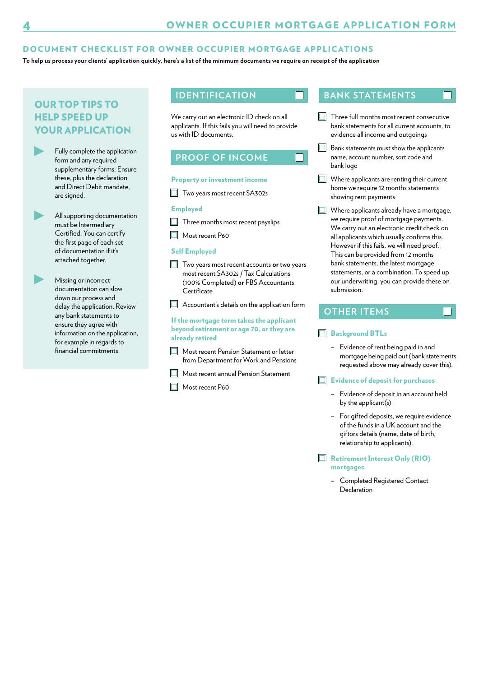П

#### DOCUMENT CHECKLIST FOR OWNER OCCUPIER MORTGAGE APPLICATIONS

**To help us process your clients' application quickly, here's a list of the minimum documents we require on receipt of the application** 

## OUR TOP TIPS TO HELP SPEED UP YOUR APPLICATION

Fully complete the application form and any required supplementary forms. Ensure these, plus the declaration and Direct Debit mandate, are signed.

All supporting documentation must be Intermediary Certifed. You can certify the first page of each set of documentation if it's attached together.

Missing or incorrect documentation can slow down our process and delay the application. Review any bank statements to ensure they agree with information on the application, for example in regards to financial commitments.

We carry out an electronic ID check on all applicants. If this fails you will need to provide us with ID documents.

## **PROOF OF INCOME**

#### Property or investment income

 $\Box$  Two years most recent SA302s

#### Employed

- $\Box$  Three months most recent payslips
- Most recent P60

#### Self Employed

Two years most recent accounts **or** two years most recent SA302s / Tax Calculations (100% Completed) **or** FBS Accountants Certificate

 $\Box$  Accountant's details on the application form

#### If the mortgage term takes the applicant beyond retirement or age 70, or they are already retired

- **Most recent Pension Statement or letter** from Department for Work and Pensions
- **Most recent annual Pension Statement**
- Most recent P60

#### **IDENTIFICATION BANK STATEMENTS**

Three full months most recent consecutive bank statements for all current accounts, to evidence all income and outgoings

П

 $\Box$ 

- $\Box$  Bank statements must show the applicants name, account number, sort code and bank logo
- Where applicants are renting their current home we require 12 months statements showing rent payments
- Where applicants already have a mortgage, we require proof of mortgage payments. We carry out an electronic credit check on all applicants which usually confrms this. However if this fails, we will need proof. This can be provided from 12 months bank statements, the latest mortgage statements, or a combination. To speed up our underwriting, you can provide these on submission.

#### **OTHER ITEMS**

#### Background BTLs

– Evidence of rent being paid in and mortgage being paid out (bank statements requested above may already cover this).

#### $\Box$  Evidence of deposit for purchases

- Evidence of deposit in an account held by the applicant(s)
- For gifted deposits, we require evidence of the funds in a UK account and the giftors details (name, date of birth, relationship to applicants).
- Retirement Interest Only (RIO) mortgages
	- – Completed Registered Contact Declaration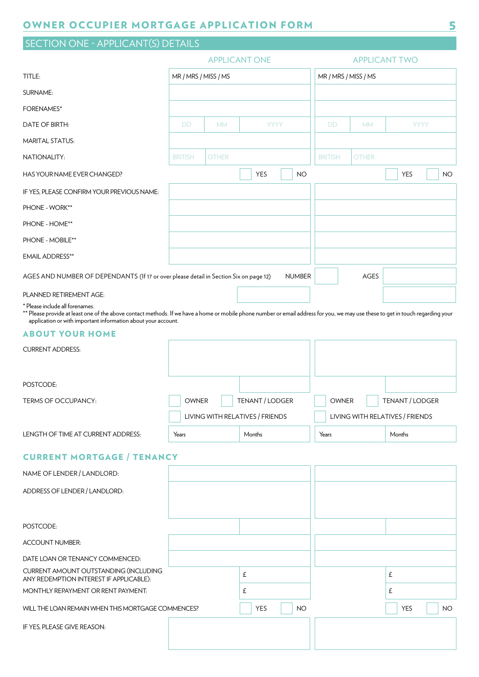## SECTION ONE - APPLICANT(S) DETAILS

|                                                                                                                                                                                                                                                                                     | <b>APPLICANT ONE</b> |              |                         | <b>APPLICANT TWO</b> |              |                         |
|-------------------------------------------------------------------------------------------------------------------------------------------------------------------------------------------------------------------------------------------------------------------------------------|----------------------|--------------|-------------------------|----------------------|--------------|-------------------------|
| TITLE:                                                                                                                                                                                                                                                                              | MR / MRS / MISS / MS |              |                         | MR / MRS / MISS / MS |              |                         |
| SURNAME:                                                                                                                                                                                                                                                                            |                      |              |                         |                      |              |                         |
| <b>FORENAMES*</b>                                                                                                                                                                                                                                                                   |                      |              |                         |                      |              |                         |
| DATE OF BIRTH:                                                                                                                                                                                                                                                                      | <b>DD</b>            | <b>MM</b>    | <b>YYYY</b>             | <b>DD</b>            | <b>MM</b>    | <b>YYYY</b>             |
| <b>MARITAL STATUS:</b>                                                                                                                                                                                                                                                              |                      |              |                         |                      |              |                         |
| NATIONALITY:                                                                                                                                                                                                                                                                        | <b>BRITISH</b>       | <b>OTHER</b> |                         | <b>BRITISH</b>       | <b>OTHER</b> |                         |
| HAS YOUR NAME EVER CHANGED?                                                                                                                                                                                                                                                         |                      |              | <b>YES</b><br><b>NO</b> |                      |              | <b>YES</b><br><b>NO</b> |
| IF YES, PLEASE CONFIRM YOUR PREVIOUS NAME:                                                                                                                                                                                                                                          |                      |              |                         |                      |              |                         |
| PHONE - WORK**                                                                                                                                                                                                                                                                      |                      |              |                         |                      |              |                         |
| PHONE - HOME**                                                                                                                                                                                                                                                                      |                      |              |                         |                      |              |                         |
| PHONE - MOBILE**                                                                                                                                                                                                                                                                    |                      |              |                         |                      |              |                         |
| <b>EMAIL ADDRESS**</b>                                                                                                                                                                                                                                                              |                      |              |                         |                      |              |                         |
| AGES AND NUMBER OF DEPENDANTS (If 17 or over please detail in Section Six on page 12)                                                                                                                                                                                               |                      |              | <b>NUMBER</b>           |                      | <b>AGES</b>  |                         |
| PLANNED RETIREMENT AGE:                                                                                                                                                                                                                                                             |                      |              |                         |                      |              |                         |
| * Please include all forenames.<br>** Please provide at least one of the above contact methods. If we have a home or mobile phone number or email address for you, we may use these to get in touch regarding your<br>application or with important information about your account. |                      |              |                         |                      |              |                         |

#### ABOUT YOUR HOME

| <b>CURRENT ADDRESS:</b>            |                                 |                 |                                 |                 |
|------------------------------------|---------------------------------|-----------------|---------------------------------|-----------------|
|                                    |                                 |                 |                                 |                 |
| POSTCODE:                          |                                 |                 |                                 |                 |
| TERMS OF OCCUPANCY:                | <b>OWNER</b>                    | TENANT / LODGER | <b>OWNER</b>                    | TENANT / LODGER |
|                                    | LIVING WITH RELATIVES / FRIENDS |                 | LIVING WITH RELATIVES / FRIENDS |                 |
| LENGTH OF TIME AT CURRENT ADDRESS: | Years                           | Months          | Years                           | Months          |

### CURRENT MORTGAGE / TENANCY

| NAME OF LENDER / LANDLORD:                                                              |                         |                   |
|-----------------------------------------------------------------------------------------|-------------------------|-------------------|
| ADDRESS OF LENDER / LANDLORD:                                                           |                         |                   |
|                                                                                         |                         |                   |
| POSTCODE:                                                                               |                         |                   |
| <b>ACCOUNT NUMBER:</b>                                                                  |                         |                   |
| DATE LOAN OR TENANCY COMMENCED:                                                         |                         |                   |
| <b>CURRENT AMOUNT OUTSTANDING (INCLUDING</b><br>ANY REDEMPTION INTEREST IF APPLICABLE): | £                       | f                 |
| MONTHLY REPAYMENT OR RENT PAYMENT:                                                      | £                       | £                 |
| WILL THE LOAN REMAIN WHEN THIS MORTGAGE COMMENCES?                                      | <b>YES</b><br><b>NO</b> | <b>YES</b><br>NO. |
| IF YES, PLEASE GIVE REASON:                                                             |                         |                   |
|                                                                                         |                         |                   |
|                                                                                         |                         |                   |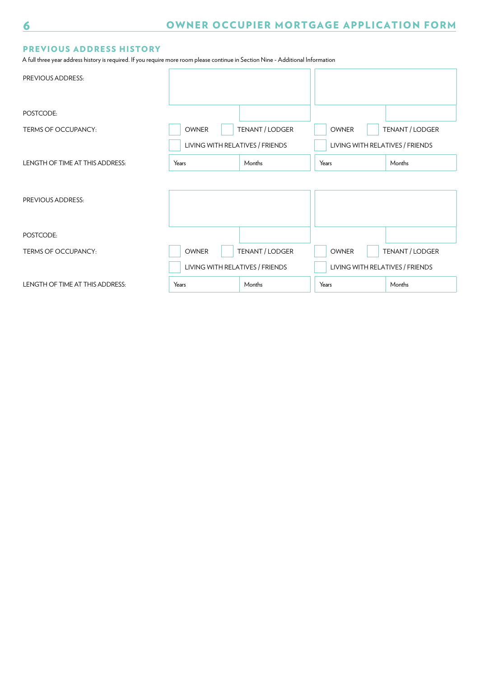### PREVIOUS ADDRESS HISTORY

A full three year address history is required. If you require more room please continue in Section Nine - Additional Information

| PREVIOUS ADDRESS:               |                                 |                 |                                 |                 |
|---------------------------------|---------------------------------|-----------------|---------------------------------|-----------------|
| POSTCODE:                       |                                 |                 |                                 |                 |
| TERMS OF OCCUPANCY:             | <b>OWNER</b>                    | TENANT / LODGER | <b>OWNER</b>                    | TENANT / LODGER |
|                                 | LIVING WITH RELATIVES / FRIENDS |                 | LIVING WITH RELATIVES / FRIENDS |                 |
| LENGTH OF TIME AT THIS ADDRESS: | Years                           | Months          | Years                           | Months          |
|                                 |                                 |                 |                                 |                 |
| PREVIOUS ADDRESS:               |                                 |                 |                                 |                 |
|                                 |                                 |                 |                                 |                 |
| POSTCODE:                       |                                 |                 |                                 |                 |
| <b>TERMS OF OCCUPANCY:</b>      | <b>OWNER</b>                    | TENANT / LODGER | <b>OWNER</b>                    | TENANT / LODGER |
|                                 | LIVING WITH RELATIVES / FRIENDS |                 | LIVING WITH RELATIVES / FRIENDS |                 |
| LENGTH OF TIME AT THIS ADDRESS: | Years                           | Months          | Years                           | Months          |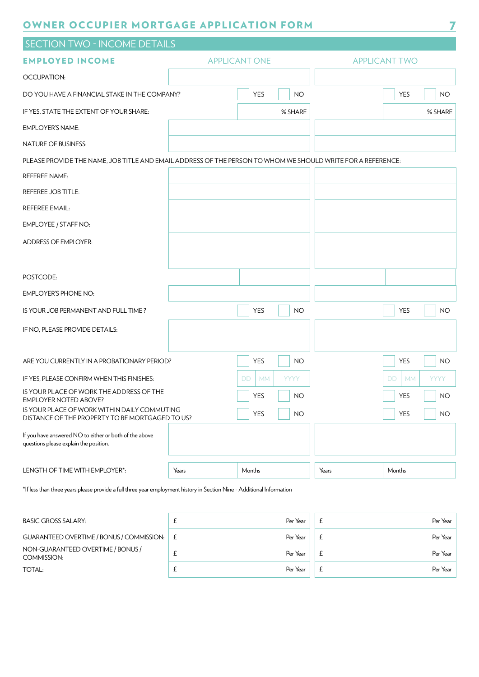| <b>SECTION TWO - INCOME DETAILS</b>                                                                         |       |                      |                    |       |                                    |
|-------------------------------------------------------------------------------------------------------------|-------|----------------------|--------------------|-------|------------------------------------|
| <b>EMPLOYED INCOME</b>                                                                                      |       | <b>APPLICANT ONE</b> |                    |       | <b>APPLICANT TWO</b>               |
| OCCUPATION:                                                                                                 |       |                      |                    |       |                                    |
| DO YOU HAVE A FINANCIAL STAKE IN THE COMPANY?                                                               |       | YES                  | <b>NO</b>          |       | <b>YES</b><br><b>NO</b>            |
| IF YES, STATE THE EXTENT OF YOUR SHARE:                                                                     |       |                      | % SHARE            |       | % SHARE                            |
| <b>EMPLOYER'S NAME:</b>                                                                                     |       |                      |                    |       |                                    |
| NATURE OF BUSINESS:                                                                                         |       |                      |                    |       |                                    |
| PLEASE PROVIDE THE NAME, JOB TITLE AND EMAIL ADDRESS OF THE PERSON TO WHOM WE SHOULD WRITE FOR A REFERENCE: |       |                      |                    |       |                                    |
| <b>REFEREE NAME:</b>                                                                                        |       |                      |                    |       |                                    |
| <b>REFEREE JOB TITLE:</b>                                                                                   |       |                      |                    |       |                                    |
| <b>REFEREE EMAIL:</b>                                                                                       |       |                      |                    |       |                                    |
| EMPLOYEE / STAFF NO:                                                                                        |       |                      |                    |       |                                    |
| <b>ADDRESS OF EMPLOYER:</b>                                                                                 |       |                      |                    |       |                                    |
|                                                                                                             |       |                      |                    |       |                                    |
| POSTCODE:                                                                                                   |       |                      |                    |       |                                    |
| <b>EMPLOYER'S PHONE NO:</b>                                                                                 |       |                      |                    |       |                                    |
| IS YOUR JOB PERMANENT AND FULL TIME?                                                                        |       | YES                  | <b>NO</b>          |       | <b>YES</b><br><b>NO</b>            |
| IF NO, PLEASE PROVIDE DETAILS:                                                                              |       |                      |                    |       |                                    |
|                                                                                                             |       |                      |                    |       |                                    |
| ARE YOU CURRENTLY IN A PROBATIONARY PERIOD?                                                                 |       | <b>YES</b>           | NO.                |       | YES<br><b>NO</b>                   |
| IF YES, PLEASE CONFIRM WHEN THIS FINISHES:                                                                  |       | DD.<br><b>MM</b>     | <b>YYYY</b>        |       | DD.<br><b>YYYY</b><br><b>MM</b>    |
| IS YOUR PLACE OF WORK THE ADDRESS OF THE<br>EMPLOYER NOTED ABOVE?                                           |       | YES                  | $\vert$ $\vert$ NO |       | YES<br>$\overline{\phantom{a}}$ NO |
| IS YOUR PLACE OF WORK WITHIN DAILY COMMUTING<br>DISTANCE OF THE PROPERTY TO BE MORTGAGED TO US?             |       | YES                  | <b>NO</b>          |       | <b>YES</b><br><b>NO</b>            |
| If you have answered NO to either or both of the above<br>questions please explain the position.            |       |                      |                    |       |                                    |
| LENGTH OF TIME WITH EMPLOYER*:                                                                              | Years | Months               |                    | Years | Months                             |

\*If less than three years please provide a full three year employment history in Section Nine - Additional Information

| <b>BASIC GROSS SALARY:</b>                       | Per Year | Per Year |
|--------------------------------------------------|----------|----------|
| GUARANTEED OVERTIME / BONUS / COMMISSION:        | Per Year | Per Year |
| NON-GUARANTEED OVERTIME / BONUS /<br>COMMISSION: | Per Year | Per Year |
| TOTAL:                                           | Per Year | Per Year |
|                                                  |          |          |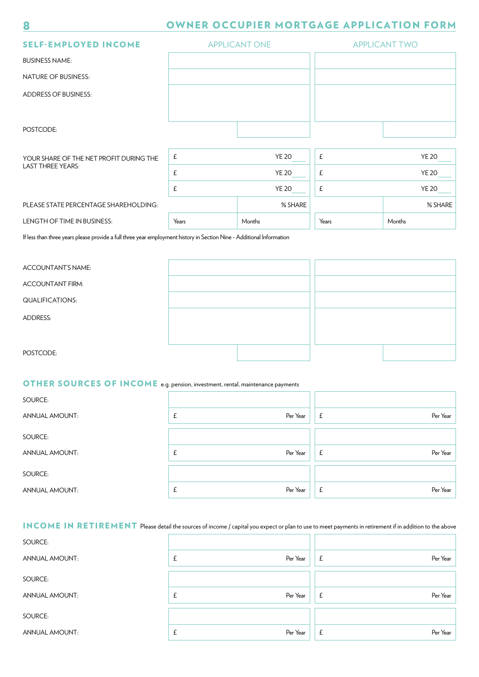| <b>SELF-EMPLOYED INCOME</b>             |                           | <b>APPLICANT ONE</b> | <b>APPLICANT TWO</b> |              |  |
|-----------------------------------------|---------------------------|----------------------|----------------------|--------------|--|
| <b>BUSINESS NAME:</b>                   |                           |                      |                      |              |  |
| <b>NATURE OF BUSINESS:</b>              |                           |                      |                      |              |  |
| <b>ADDRESS OF BUSINESS:</b>             |                           |                      |                      |              |  |
|                                         |                           |                      |                      |              |  |
| POSTCODE:                               |                           |                      |                      |              |  |
| YOUR SHARE OF THE NET PROFIT DURING THE | $\ensuremath{\mathsf{f}}$ | <b>YE 20</b>         | £                    | <b>YE 20</b> |  |
| <b>LAST THREE YEARS:</b>                | £<br><b>YE 20</b>         |                      | £<br><b>YE 20</b>    |              |  |
|                                         | $\pmb{\mathsf{E}}$        | <b>YE 20</b>         | £                    | <b>YE 20</b> |  |
| PLEASE STATE PERCENTAGE SHAREHOLDING:   |                           | % SHARE              |                      | % SHARE      |  |
| LENGTH OF TIME IN BUSINESS:             | Years                     | Months               | Years                | Months       |  |

If less than three years please provide a full three year employment history in Section Nine - Additional Information

ACCOUNTANT'S NAME:

ACCOUNTANT FIRM:

QUALIFICATIONS:

ADDRESS:

8

POSTCODE:

## OTHER SOURCES OF INCOME e.g. pension, investment, rental, maintenance payments

| SOURCE:               |               |               |
|-----------------------|---------------|---------------|
| <b>ANNUAL AMOUNT:</b> | Per Year<br>£ | Per Year<br>£ |
| SOURCE:               |               |               |
| <b>ANNUAL AMOUNT:</b> | Per Year<br>£ | Per Year<br>£ |
| SOURCE:               |               |               |
| <b>ANNUAL AMOUNT:</b> | Per Year<br>£ | Per Year<br>£ |

## INCOME IN RETIREMENT Please detail the sources of income / capital you expect or plan to use to meet payments in retirement if in addition to the above

| SOURCE:               |                |                          |
|-----------------------|----------------|--------------------------|
| <b>ANNUAL AMOUNT:</b> | Per Year<br>t. | Per Year<br>£            |
| SOURCE:               |                |                          |
| <b>ANNUAL AMOUNT:</b> | Per Year<br>£  | Per Year<br>$\mathbf{f}$ |
| SOURCE:               |                |                          |
| <b>ANNUAL AMOUNT:</b> | Per Year<br>t. | Per Year<br>£            |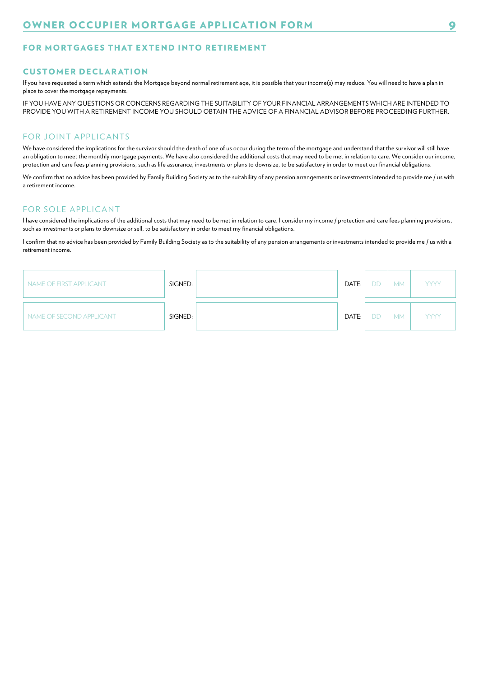#### FOR MORTGAGES THAT EXTEND INTO RETIREMENT

#### **CUSTOMER DECLARATION**

If you have requested a term which extends the Mortgage beyond normal retirement age, it is possible that your income(s) may reduce. You will need to have a plan in place to cover the mortgage repayments.

IF YOU HAVE ANY QUESTIONS OR CONCERNS REGARDING THE SUITABILITY OF YOUR FINANCIAL ARRANGEMENTS WHICH ARE INTENDED TO PROVIDE YOU WITH A RETIREMENT INCOME YOU SHOULD OBTAIN THE ADVICE OF A FINANCIAL ADVISOR BEFORE PROCEEDING FURTHER.

#### FOR JOINT APPLICANTS

We have considered the implications for the survivor should the death of one of us occur during the term of the mortgage and understand that the survivor will still have an obligation to meet the monthly mortgage payments. We have also considered the additional costs that may need to be met in relation to care. We consider our income, protection and care fees planning provisions, such as life assurance, investments or plans to downsize, to be satisfactory in order to meet our fnancial obligations.

We confirm that no advice has been provided by Family Building Society as to the suitability of any pension arrangements or investments intended to provide me / us with a retirement income.

#### FOR SOLE APPLICANT

I have considered the implications of the additional costs that may need to be met in relation to care. I consider my income / protection and care fees planning provisions, such as investments or plans to downsize or sell, to be satisfactory in order to meet my fnancial obligations.

I confrm that no advice has been provided by Family Building Society as to the suitability of any pension arrangements or investments intended to provide me / us with a retirement income.

| NAME OF FIRST APPLICANT  | SIGNED: | DATE: | DD | <b>MM</b> | <b>YYYY</b> |
|--------------------------|---------|-------|----|-----------|-------------|
| NAME OF SECOND APPLICANT | SIGNED: | DATE: | DD | <b>MM</b> | <b>YYYY</b> |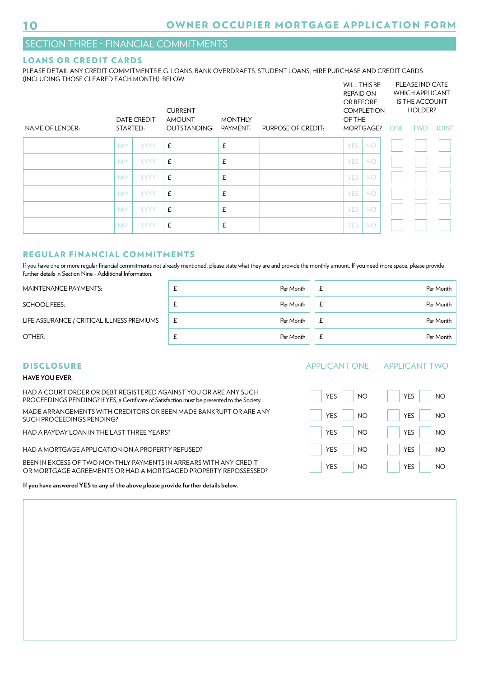### SECTION THREE - FINANCIAL COMMITMENTS

#### LOANS OR CREDIT CARDS

PLEASE DETAIL ANY CREDIT COMMITMENTS E.G. LOANS, BANK OVERDRAFTS, STUDENT LOANS, HIRE PURCHASE AND CREDIT CARDS (INCLUDING THOSE CLEARED EACH MONTH) BELOW: WILL THIS BE PLEASE INDICATE

|                 |           | <b>DATE CREDIT</b> | <b>CURRENT</b><br><b>AMOUNT</b> | <b>MONTHLY</b> |                    | <b>REPAID ON</b><br><b>OR BEFORE</b><br><b>OF THE</b> | <b>COMPLETION</b> |     | <b>WHICH APPLICANT</b><br><b>IS THE ACCOUNT</b><br>HOLDER? |              |
|-----------------|-----------|--------------------|---------------------------------|----------------|--------------------|-------------------------------------------------------|-------------------|-----|------------------------------------------------------------|--------------|
| NAME OF LENDER: | STARTED:  |                    | <b>OUTSTANDING:</b>             | PAYMENT:       | PURPOSE OF CREDIT: |                                                       | MORTGAGE?         | ONE | <b>TWO</b>                                                 | <b>JOINT</b> |
|                 | <b>MM</b> | <b>YYYY</b>        | £                               | £              |                    | <b>YES</b>                                            | <b>NO</b>         |     |                                                            |              |
|                 | <b>MM</b> | <b>YYYY</b>        | £                               | £              |                    | <b>YES</b>                                            | <b>NO</b>         |     |                                                            |              |
|                 | <b>MM</b> | <b>YYYY</b>        | £                               | £              |                    | <b>YES</b>                                            | <b>NO</b>         |     |                                                            |              |
|                 | <b>MM</b> | <b>YYYY</b>        | £                               | £              |                    | <b>YES</b>                                            | <b>NO</b>         |     |                                                            |              |
|                 | <b>MM</b> | <b>YYYY</b>        | £                               | £              |                    | <b>YES</b>                                            | <b>NO</b>         |     |                                                            |              |
|                 | <b>MM</b> | <b>YYYY</b>        | £                               | £              |                    | <b>YES</b>                                            | <b>NO</b>         |     |                                                            |              |

#### REGULAR FINANCIAL COMMITMENTS

If you have one or more regular financial commitments not already mentioned, please state what they are and provide the monthly amount. If you need more space, please provide further details in Section Nine - Additional Information.

| <b>MAINTENANCE PAYMENTS:</b>               |    | Per Month | Per Month |
|--------------------------------------------|----|-----------|-----------|
| SCHOOL FEES:                               |    | Per Month | Per Month |
| LIFE ASSURANCE / CRITICAL ILLNESS PREMIUMS | t. | Per Month | Per Month |
| OTHER:                                     |    | Per Month | Per Month |

#### **DISCLOSURE**

#### **HAVE YOU EVER:**

HAD A COURT ORDER OR DEBT REGISTERED AGAINST YOU OR ARE ANY SUCH PROCEEDINGS PENDING? If YES, a Certificate of Satisfaction must be presented to the Society.

MADE ARRANGEMENTS WITH CREDITORS OR BEEN MADE BANKRUPT OR ARE ANY SUCH PROCEEDINGS PENDING?

HAD A PAYDAY LOAN IN THE LAST THREE YEARS?

HAD A MORTGAGE APPLICATION ON A PROPERTY REFUSED?

BEEN IN EXCESS OF TWO MONTHLY PAYMENTS IN ARREARS WITH ANY CREDIT OR MORTGAGE AGREEMENTS OR HAD A MORTGAGED PROPERTY REPOSSESSED?

**If you have answered YES to any of the above please provide further details below.** 

#### APPLICANT ONE APPLICANT TWO

| <b>YES</b> | <b>YES</b> |
|------------|------------|
| <b>NO</b>  | <b>NO</b>  |
|            |            |
| <b>YES</b> | <b>YES</b> |
| <b>NO</b>  | <b>NO</b>  |
| <b>YES</b> | <b>YES</b> |
| <b>NO</b>  | <b>NO</b>  |
| <b>YES</b> | <b>YES</b> |
| <b>NO</b>  | <b>NO</b>  |
| <b>YES</b> | <b>YES</b> |
| <b>NO</b>  | <b>NO</b>  |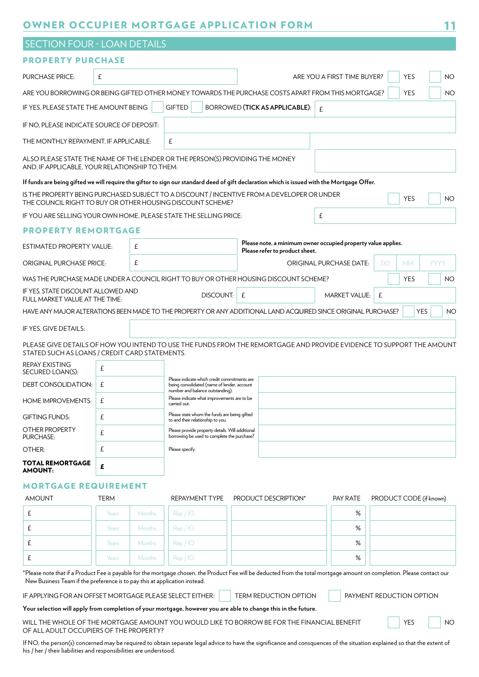|                                                                                                                                                                                      | <b>SECTION FOUR - LOAN DETAILS</b> |               |                                                                                                    |                                           |           |  |  |  |
|--------------------------------------------------------------------------------------------------------------------------------------------------------------------------------------|------------------------------------|---------------|----------------------------------------------------------------------------------------------------|-------------------------------------------|-----------|--|--|--|
| <b>PROPERTY PURCHASE</b>                                                                                                                                                             |                                    |               |                                                                                                    |                                           |           |  |  |  |
| <b>PURCHASE PRICE:</b>                                                                                                                                                               | £                                  |               |                                                                                                    | <b>YES</b><br>ARE YOU A FIRST TIME BUYER? | <b>NO</b> |  |  |  |
|                                                                                                                                                                                      |                                    |               | ARE YOU BORROWING OR BEING GIFTED OTHER MONEY TOWARDS THE PURCHASE COSTS APART FROM THIS MORTGAGE? | <b>YES</b>                                | <b>NO</b> |  |  |  |
| IF YES, PLEASE STATE THE AMOUNT BEING                                                                                                                                                |                                    | <b>GIFTED</b> | BORROWED (TICK AS APPLICABLE):                                                                     | $\mathbf{f}$                              |           |  |  |  |
| IF NO, PLEASE INDICATE SOURCE OF DEPOSIT:                                                                                                                                            |                                    |               |                                                                                                    |                                           |           |  |  |  |
| THE MONTHLY REPAYMENT, IF APPLICABLE:                                                                                                                                                |                                    | £             |                                                                                                    |                                           |           |  |  |  |
| ALSO PLEASE STATE THE NAME OF THE LENDER OR THE PERSON(S) PROVIDING THE MONEY<br>AND, IF APPLICABLE, YOUR RELATIONSHIP TO THEM:                                                      |                                    |               |                                                                                                    |                                           |           |  |  |  |
| If funds are being gifted we will require the giftor to sign our standard deed of gift declaration which is issued with the Mortgage Offer.                                          |                                    |               |                                                                                                    |                                           |           |  |  |  |
| IS THE PROPERTY BEING PURCHASED SUBJECT TO A DISCOUNT / INCENTIVE FROM A DEVELOPER OR UNDER<br><b>YES</b><br><b>NO</b><br>THE COUNCIL RIGHT TO BUY OR OTHER HOUSING DISCOUNT SCHEME? |                                    |               |                                                                                                    |                                           |           |  |  |  |
|                                                                                                                                                                                      |                                    |               |                                                                                                    |                                           |           |  |  |  |

IF YOU ARE SELLING YOUR OWN HOME, PLEASE STATE THE SELLING PRICE:

#### PROPERTY REMORTGAGE

| <b>ESTIMATED PROPERTY VALUE:</b>                                     |   | £ |                                                                                                                                 | Please note, a minimum owner occupied property value applies.<br>Please refer to product sheet.                       |                      |   |            |                         |
|----------------------------------------------------------------------|---|---|---------------------------------------------------------------------------------------------------------------------------------|-----------------------------------------------------------------------------------------------------------------------|----------------------|---|------------|-------------------------|
| <b>ORIGINAL PURCHASE PRICE:</b>                                      |   | £ |                                                                                                                                 | <b>ORIGINAL PURCHASE DATE:</b>                                                                                        |                      |   | <b>MM</b>  | <b>YYYY</b>             |
|                                                                      |   |   |                                                                                                                                 | WAS THE PURCHASE MADE UNDER A COUNCIL RIGHT TO BUY OR OTHER HOUSING DISCOUNT SCHEME?                                  |                      |   | <b>YES</b> | <b>NO</b>               |
| IF YES, STATE DISCOUNT ALLOWED AND<br>FULL MARKET VALUE AT THE TIME: |   |   | DISCOUNT: I                                                                                                                     | £                                                                                                                     | <b>MARKET VALUE:</b> | £ |            |                         |
|                                                                      |   |   |                                                                                                                                 | HAVE ANY MAJOR ALTERATIONS BEEN MADE TO THE PROPERTY OR ANY ADDITIONAL LAND ACQUIRED SINCE ORIGINAL PURCHASE?         |                      |   |            | <b>YES</b><br><b>NO</b> |
| IF YES, GIVE DETAILS:                                                |   |   |                                                                                                                                 |                                                                                                                       |                      |   |            |                         |
| STATED SUCH AS LOANS / CREDIT CARD STATEMENTS.                       |   |   |                                                                                                                                 | PLEASE GIVE DETAILS OF HOW YOU INTEND TO USE THE FUNDS FROM THE REMORTGAGE AND PROVIDE EVIDENCE TO SUPPORT THE AMOUNT |                      |   |            |                         |
| <b>REPAY EXISTING</b><br>SECURED LOAN(S):                            | £ |   |                                                                                                                                 |                                                                                                                       |                      |   |            |                         |
| <b>DEBT CONSOLIDATION:</b>                                           | £ |   | Please indicate which credit commitments are<br>being consolidated (name of lender, account<br>number and balance outstanding). |                                                                                                                       |                      |   |            |                         |
| <b>HOME IMPROVEMENTS:</b>                                            | £ |   | Please indicate what improvements are to be<br>carried out.                                                                     |                                                                                                                       |                      |   |            |                         |
| <b>GIFTING FUNDS:</b>                                                | £ |   | Please state whom the funds are being gifted<br>to and their relationship to you.                                               |                                                                                                                       |                      |   |            |                         |
| OTHER PROPERTY                                                       |   |   | Please provide property details. Will additional                                                                                |                                                                                                                       |                      |   |            |                         |

AMOUNT: £ MORTGAGE REQUIREMENT

£

£

PURCHASE: OTHER:

TOTAL REMORTGAGE

| <b>AMOUNT</b> | <b>TERM</b> |               | REPAYMENT TYPE | PRODUCT DESCRIPTION* | PAY RATE | PRODUCT CODE (if known) |
|---------------|-------------|---------------|----------------|----------------------|----------|-------------------------|
|               | Years       | Months        | Rep / IO       |                      | %        |                         |
|               | Years       | <b>Months</b> | Rep / IO       |                      | %        |                         |
|               | Years       | Months        | Rep / IO       |                      | %        |                         |
|               | Years       | Months        | Rep / IO       |                      | %        |                         |

Please provide property details. Will additional borrowing be used to complete the purchase?

Please specify.

\*Please note that if a Product Fee is payable for the mortgage chosen, the Product Fee will be deducted from the total mortgage amount on completion. Please contact our New Business Team if the preference is to pay this at application instead.

IF APPLYING FOR AN OFFSET MORTGAGE PLEASE SELECT EITHER: TERM REDUCTION OPTION PAYMENT REDUCTION OPTION

**Your selection will apply from completion of your mortgage, however you are able to change this in the future.** 

WILL THE WHOLE OF THE MORTGAGE AMOUNT YOU WOULD LIKE TO BORROW BE FOR THE FINANCIAL BENEFIT FINIT STOLEN IN NO OF ALL ADULT OCCUPIERS OF THE PROPERTY?

If NO, the person(s) concerned may be required to obtain separate legal advice to have the significance and consquences of the situation explained so that the extent of his / her / their liabilities and responsibilities are understood.

11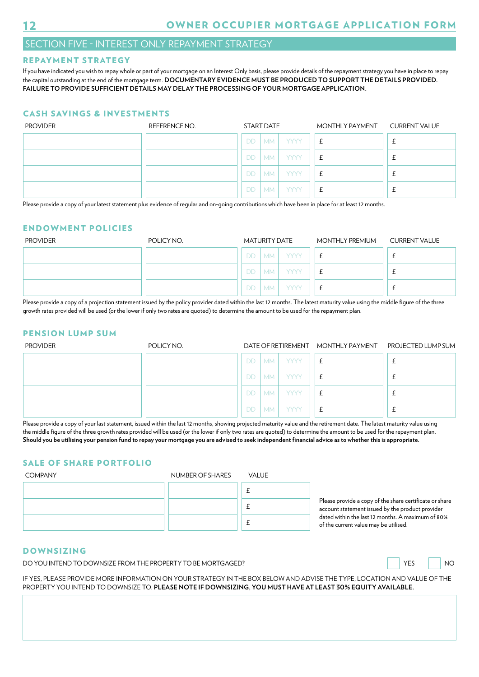## SECTION FIVE - INTEREST ONLY REPAYMENT STRATEGY

#### REPAYMENT STRATEGY

If you have indicated you wish to repay whole or part of your mortgage on an Interest Only basis, please provide details of the repayment strategy you have in place to repay the capital outstanding at the end of the mortgage term. **DOCUMENTARY EVIDENCE MUST BE PRODUCED TO SUPPORT THE DETAILS PROVIDED. FAILURE TO PROVIDE SUFFICIENT DETAILS MAY DELAY THE PROCESSING OF YOUR MORTGAGE APPLICATION.** 

#### CASH SAVINGS & INVESTMENTS

| <b>PROVIDER</b> | REFERENCE NO. | START DATE |           |             | MONTHLY PAYMENT CURRENT VALUE |  |
|-----------------|---------------|------------|-----------|-------------|-------------------------------|--|
|                 |               | DD.        | MM        | <b>YYYY</b> | £                             |  |
|                 |               | DD.        | <b>MM</b> | <b>YYYY</b> | £                             |  |
|                 |               | DD.        | <b>MM</b> | <b>YYYY</b> | £                             |  |
|                 |               | DD.        | <b>MM</b> | <b>YYYY</b> | £                             |  |

Please provide a copy of your latest statement plus evidence of regular and on-going contributions which have been in place for at least 12 months.

#### ENDOWMENT POLICIES

| <b>PROVIDER</b> | POLICY NO. | MATURITY DATE |           |             | MONTHLY PREMIUM  | <b>CURRENT VALUE</b> |
|-----------------|------------|---------------|-----------|-------------|------------------|----------------------|
|                 |            | DD.           | MM I      | <b>YYYY</b> | £                |                      |
|                 |            | DD.           | <b>MM</b> | YYYY        | $\epsilon$<br>t. |                      |
|                 |            | DD.           | <b>MM</b> | <b>YYYY</b> | £                |                      |

Please provide a copy of a projection statement issued by the policy provider dated within the last 12 months. The latest maturity value using the middle figure of the three growth rates provided will be used (or the lower if only two rates are quoted) to determine the amount to be used for the repayment plan.

#### PENSION LUMP SUM

| <b>PROVIDER</b> | POLICY NO. | DATE OF RETIREMENT MONTHLY PAYMENT PROJECTED LUMP SUM |      |             |   |  |
|-----------------|------------|-------------------------------------------------------|------|-------------|---|--|
|                 |            | DD.                                                   |      | MM TYYYY    | £ |  |
|                 |            | DD.                                                   | MM   | <b>YYYY</b> | £ |  |
|                 |            | DD.                                                   | MM I | <b>YYYY</b> |   |  |
|                 |            | DD.                                                   | MM I | <b>YYYY</b> | £ |  |

Please provide a copy of your last statement, issued within the last 12 months, showing projected maturity value and the retirement date. The latest maturity value using the middle fgure of the three growth rates provided will be used (or the lower if only two rates are quoted) to determine the amount to be used for the repayment plan. **Should you be utilising your pension fund to repay your mortgage you are advised to seek independent fnancial advice as to whether this is appropriate.** 

#### SALE OF SHARE PORTFOLIO

COMPANY NUMBER OF SHARES VALUE £ £ £

Please provide a copy of the share certificate or share account statement issued by the product provider dated within the last 12 months. A maximum of 80% of the current value may be utilised.

#### DOWNSIZING

DO YOU INTEND TO DOWNSIZE FROM THE PROPERTY TO BE MORTGAGED? WE SAY AND RESCOME THAT A LOCAL THE PROPERTY TO BE MORTGAGED?



IF YES, PLEASE PROVIDE MORE INFORMATION ON YOUR STRATEGY IN THE BOX BELOW AND ADVISE THE TYPE, LOCATION AND VALUE OF THE PROPERTY YOU INTEND TO DOWNSIZE TO. **PLEASE NOTE IF DOWNSIZING, YOU MUST HAVE AT LEAST 30% EQUITY AVAILABLE.** 

## OWNER OCCUPIER MORTGAGE APPLICATION FORM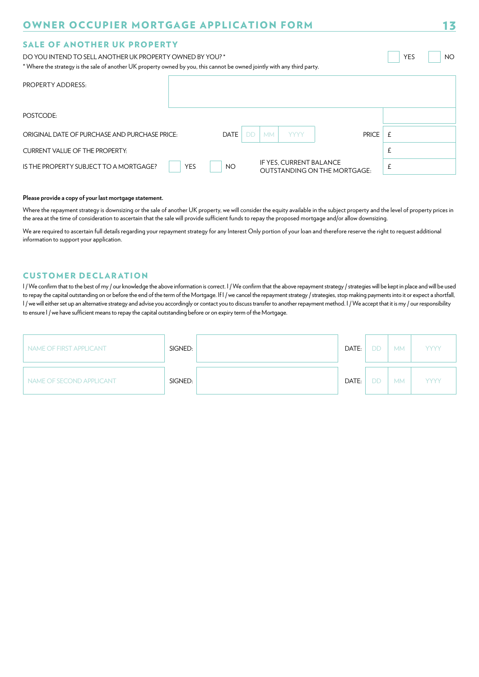#### SALE OF ANOTHER UK PROPERTY

DO YOU INTEND TO SELL ANOTHER UK PROPERTY OWNED BY YOU? \* YES NOTIFIED AND RESOURCED A NOTIFIED AND RESOURCED A

\* Where the strategy is the sale of another UK property owned by you, this cannot be owned jointly with any third party.

| PROPERTY ADDRESS:                             |            |      |                                       |                                     |            |
|-----------------------------------------------|------------|------|---------------------------------------|-------------------------------------|------------|
| POSTCODE:                                     |            |      |                                       |                                     |            |
| ORIGINAL DATE OF PURCHASE AND PURCHASE PRICE: |            | DATE | <b>YYYY</b><br><b>DD</b><br><b>MM</b> | <b>PRICE</b>                        | $\ddot{+}$ |
| <b>CURRENT VALUE OF THE PROPERTY:</b>         |            |      |                                       |                                     | t          |
| IS THE PROPERTY SUBJECT TO A MORTGAGE?        | <b>YES</b> | NO.  | IF YES, CURRENT BALANCE               | <b>OUTSTANDING ON THE MORTGAGE:</b> | 上          |

#### **Please provide a copy of your last mortgage statement.**

Where the repayment strategy is downsizing or the sale of another UK property, we will consider the equity available in the subject property and the level of property prices in the area at the time of consideration to ascertain that the sale will provide sufficient funds to repay the proposed mortgage and/or allow downsizing.

We are required to ascertain full details regarding your repayment strategy for any Interest Only portion of your loan and therefore reserve the right to request additional information to support your application.

#### **CUSTOMER DECLARATION**

I / We confirm that to the best of my / our knowledge the above information is correct. I / We confirm that the above repayment strategy / strategies will be kept in place and will be used to repay the capital outstanding on or before the end of the term of the Mortgage. If I / we cancel the repayment strategy / strategies, stop making payments into it or expect a shortfall, I/we will either set up an alternative strategy and advise you accordingly or contact you to discuss transfer to another repayment method. I/We accept that it is my/our responsibility to ensure I / we have sufficient means to repay the capital outstanding before or on expiry term of the Mortgage.

| NAME OF FIRST APPLICANT  | SIGNED: | DATE: | <b>DD</b> | <b>MM</b> | <b>YYYY</b> |
|--------------------------|---------|-------|-----------|-----------|-------------|
| NAME OF SECOND APPLICANT | SIGNED: | DATE: | <b>DD</b> | <b>MM</b> | <b>YYYY</b> |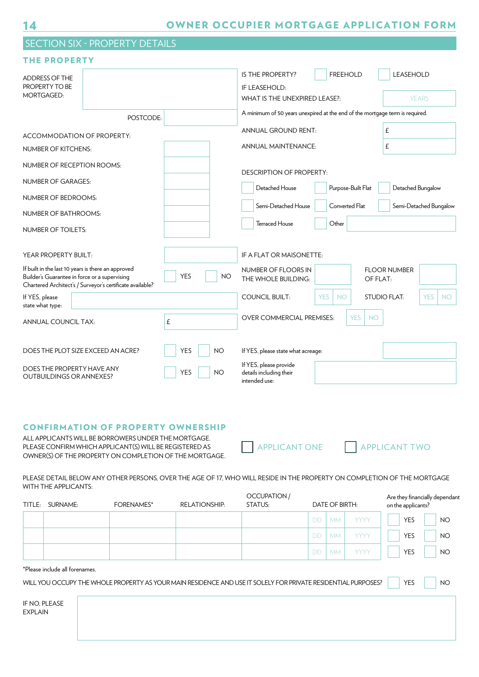## 14

## OWNER OCCUPIER MORTGAGE APPLICATION FORM

## SECTION SIX - PROPERTY DETAILS

#### THE PROPERTY

| <b>ADDRESS OF THE</b><br>PROPERTY TO BE                                                             |                                                           |            |           | IS THE PROPERTY?<br>IF LEASEHOLD:                                            | <b>FREEHOLD</b>         |                         | <b>LEASEHOLD</b>    |                         |
|-----------------------------------------------------------------------------------------------------|-----------------------------------------------------------|------------|-----------|------------------------------------------------------------------------------|-------------------------|-------------------------|---------------------|-------------------------|
| <b>MORTGAGED:</b>                                                                                   |                                                           |            |           | WHAT IS THE UNEXPIRED LEASE?:                                                |                         |                         |                     | <b>YEARS</b>            |
|                                                                                                     | POSTCODE:                                                 |            |           | A minimum of 50 years unexpired at the end of the mortgage term is required. |                         |                         |                     |                         |
| ACCOMMODATION OF PROPERTY:                                                                          |                                                           |            |           | <b>ANNUAL GROUND RENT:</b>                                                   |                         | £                       |                     |                         |
| <b>NUMBER OF KITCHENS:</b>                                                                          |                                                           |            |           | <b>ANNUAL MAINTENANCE:</b>                                                   |                         | £                       |                     |                         |
| NUMBER OF RECEPTION ROOMS:                                                                          |                                                           |            |           | <b>DESCRIPTION OF PROPERTY:</b>                                              |                         |                         |                     |                         |
| <b>NUMBER OF GARAGES:</b>                                                                           |                                                           |            |           | Detached House                                                               | Purpose-Built Flat      |                         | Detached Bungalow   |                         |
| NUMBER OF BEDROOMS:                                                                                 |                                                           |            |           |                                                                              |                         |                         |                     |                         |
| <b>NUMBER OF BATHROOMS:</b>                                                                         |                                                           |            |           | Semi-Detached House                                                          | Converted Flat          |                         |                     | Semi-Detached Bungalow  |
| <b>NUMBER OF TOILETS:</b>                                                                           |                                                           |            |           | <b>Terraced House</b>                                                        | Other                   |                         |                     |                         |
| YEAR PROPERTY BUILT:                                                                                |                                                           |            |           | IF A FLAT OR MAISONETTE:                                                     |                         |                         |                     |                         |
| If built in the last 10 years is there an approved<br>Builder's Guarantee in force or a supervising | Chartered Architect's / Surveyor's certificate available? | <b>YES</b> | <b>NO</b> | NUMBER OF FLOORS IN<br>THE WHOLE BUILDING:                                   |                         | OF FLAT:                | <b>FLOOR NUMBER</b> |                         |
| If YES, please<br>state what type:                                                                  |                                                           |            |           | <b>COUNCIL BUILT:</b>                                                        | <b>YES</b><br><b>NO</b> | <b>STUDIO FLAT:</b>     |                     | <b>YES</b><br><b>NO</b> |
| <b>ANNUAL COUNCIL TAX:</b>                                                                          |                                                           | £          |           | OVER COMMERCIAL PREMISES:                                                    |                         | <b>YES</b><br><b>NO</b> |                     |                         |
| DOES THE PLOT SIZE EXCEED AN ACRE?                                                                  |                                                           | <b>YES</b> | <b>NO</b> | If YES, please state what acreage:                                           |                         |                         |                     |                         |
| DOES THE PROPERTY HAVE ANY<br><b>OUTBUILDINGS OR ANNEXES?</b>                                       |                                                           | <b>YES</b> | <b>NO</b> | If YES, please provide<br>details including their<br>intended use:           |                         |                         |                     |                         |

#### CONFIRMATION OF PROPERTY OWNERSHIP

ALL APPLICANTS WILL BE BORROWERS UNDER THE MORTGAGE. PLEASE CONFIRM WHICH APPLICANT(S) WILL BE REGISTERED AS APPLICANT ONE APPLICANT TWO OWNER(S) OF THE PROPERTY ON COMPLETION OF THE MORTGAGE.

PLEASE DETAIL BELOW ANY OTHER PERSONS, OVER THE AGE OF 17, WHO WILL RESIDE IN THE PROPERTY ON COMPLETION OF THE MORTGAGE WITH THE APPLICANTS:

| SURNAME:<br>TITLE: |                                | <b>FORENAMES*</b> | <b>RELATIONSHIP:</b>                                                                                          | OCCUPATION /<br>STATUS: |           | DATE OF BIRTH: |             | Are they financially dependant<br>on the applicants? |                 |  |
|--------------------|--------------------------------|-------------------|---------------------------------------------------------------------------------------------------------------|-------------------------|-----------|----------------|-------------|------------------------------------------------------|-----------------|--|
|                    |                                |                   |                                                                                                               |                         | <b>DD</b> | <b>MM</b>      | <b>YYYY</b> | <b>YES</b>                                           | NO <sub>1</sub> |  |
|                    |                                |                   |                                                                                                               |                         | <b>DD</b> | <b>MM</b>      | <b>YYYY</b> | <b>YES</b>                                           | <b>NO</b>       |  |
|                    |                                |                   |                                                                                                               |                         | <b>DD</b> | <b>MM</b>      | <b>YYYY</b> | <b>YES</b>                                           | <b>NO</b>       |  |
|                    | *Please include all forenames. |                   | WILL YOU OCCUPY THE WHOLE PROPERTY AS YOUR MAIN RESIDENCE AND USE IT SOLELY FOR PRIVATE RESIDENTIAL PURPOSES? |                         |           |                |             | <b>YES</b>                                           | NO <sub>1</sub> |  |
|                    |                                |                   |                                                                                                               |                         |           |                |             |                                                      |                 |  |

IF NO, PLEASE EXPLAIN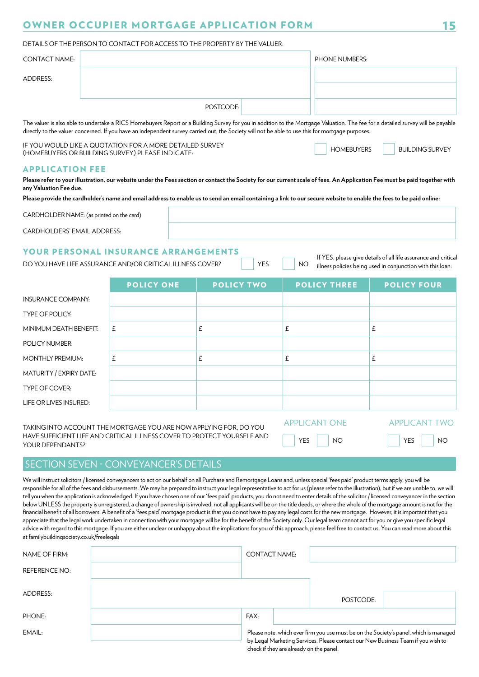#### DETAILS OF THE PERSON TO CONTACT FOR ACCESS TO THE PROPERTY BY THE VALUER:

| <b>CONTACT NAME:</b>                             |                                                                                                                                                                    |                   | PHONE NUMBERS:                                  |                                                                                                                                                                                 |
|--------------------------------------------------|--------------------------------------------------------------------------------------------------------------------------------------------------------------------|-------------------|-------------------------------------------------|---------------------------------------------------------------------------------------------------------------------------------------------------------------------------------|
| <b>ADDRESS:</b>                                  |                                                                                                                                                                    |                   |                                                 |                                                                                                                                                                                 |
|                                                  |                                                                                                                                                                    |                   |                                                 |                                                                                                                                                                                 |
|                                                  |                                                                                                                                                                    | POSTCODE:         |                                                 |                                                                                                                                                                                 |
|                                                  | directly to the valuer concerned. If you have an independent survey carried out, the Society will not be able to use this for mortgage purposes.                   |                   |                                                 | The valuer is also able to undertake a RICS Homebuyers Report or a Building Survey for you in addition to the Mortgage Valuation. The fee for a detailed survey will be payable |
| (HOMEBUYERS OR BUILDING SURVEY) PLEASE INDICATE: | IF YOU WOULD LIKE A QUOTATION FOR A MORE DETAILED SURVEY                                                                                                           |                   | <b>HOMEBUYERS</b>                               | <b>BUILDING SURVEY</b>                                                                                                                                                          |
| <b>APPLICATION FEE</b><br>any Valuation Fee due. | Please provide the cardholder's name and email address to enable us to send an email containing a link to our secure website to enable the fees to be paid online: |                   |                                                 | Please refer to your illustration, our website under the Fees section or contact the Society for our current scale of fees. An Application Fee must be paid together with       |
| CARDHOLDER NAME: (as printed on the card)        |                                                                                                                                                                    |                   |                                                 |                                                                                                                                                                                 |
| <b>CARDHOLDERS' EMAIL ADDRESS:</b>               |                                                                                                                                                                    |                   |                                                 |                                                                                                                                                                                 |
|                                                  | YOUR PERSONAL INSURANCE ARRANGEMENTS<br>DO YOU HAVE LIFE ASSURANCE AND/OR CRITICAL ILLNESS COVER?                                                                  | <b>YES</b>        | NO.                                             | If YES, please give details of all life assurance and critical<br>illness policies being used in conjunction with this loan:                                                    |
|                                                  | <b>POLICY ONE</b>                                                                                                                                                  | <b>POLICY TWO</b> | <b>POLICY THREE</b>                             | <b>POLICY FOUR</b>                                                                                                                                                              |
| <b>INSURANCE COMPANY:</b>                        |                                                                                                                                                                    |                   |                                                 |                                                                                                                                                                                 |
| <b>TYPE OF POLICY:</b>                           |                                                                                                                                                                    |                   |                                                 |                                                                                                                                                                                 |
| MINIMUM DEATH BENEFIT:                           | £                                                                                                                                                                  | £                 | £                                               | £                                                                                                                                                                               |
| <b>POLICY NUMBER:</b>                            |                                                                                                                                                                    |                   |                                                 |                                                                                                                                                                                 |
| <b>MONTHLY PREMIUM:</b>                          | £                                                                                                                                                                  | £                 | £                                               | £                                                                                                                                                                               |
| MATURITY / EXPIRY DATE:                          |                                                                                                                                                                    |                   |                                                 |                                                                                                                                                                                 |
| <b>TYPE OF COVER:</b>                            |                                                                                                                                                                    |                   |                                                 |                                                                                                                                                                                 |
| LIFE OR LIVES INSURED:                           |                                                                                                                                                                    |                   |                                                 |                                                                                                                                                                                 |
| YOUR DEPENDANTS?                                 | TAKING INTO ACCOUNT THE MORTGAGE YOU ARE NOW APPLYING FOR, DO YOU<br>HAVE SUFFICIENT LIFE AND CRITICAL ILLNESS COVER TO PROTECT YOURSELF AND                       |                   | <b>APPLICANT ONE</b><br><b>YES</b><br><b>NO</b> | <b>APPLICANT TWO</b><br><b>YES</b><br><b>NO</b>                                                                                                                                 |

#### SECTION SEVEN - CONVEYANCER'S DETAILS

We will instruct solicitors / licensed conveyancers to act on our behalf on all Purchase and Remortgage Loans and, unless special 'fees paid' product terms apply, you will be responsible for all of the fees and disbursements. We may be prepared to instruct your legal representative to act for us (please refer to the illustration), but if we are unable to, we will tell you when the application is acknowledged. If you have chosen one of our 'fees paid' products, you do not need to enter details of the solicitor / licensed conveyancer in the section below UNLESS the property is unregistered, a change of ownership is involved, not all applicants will be on the title deeds, or where the whole of the mortgage amount is not for the financial benefit of all borrowers. A benefit of a 'fees paid' mortgage product is that you do not have to pay any legal costs for the new mortgage. However, it is important that you appreciate that the legal work undertaken in connection with your mortgage will be for the beneft of the Society only. Our legal team cannot act for you or give you specifc legal advice with regard to this mortgage. If you are either unclear or unhappy about the implications for you of this approach, please feel free to contact us. You can read more about this at familybuildingsociety.co.uk/freelegals

| NAME OF FIRM:        | <b>CONTACT NAME:</b> |                                         |                                                                                  |                                                                                       |
|----------------------|----------------------|-----------------------------------------|----------------------------------------------------------------------------------|---------------------------------------------------------------------------------------|
| <b>REFERENCE NO:</b> |                      |                                         |                                                                                  |                                                                                       |
| ADDRESS:             |                      |                                         | POSTCODE:                                                                        |                                                                                       |
| PHONE:               | FAX:                 |                                         |                                                                                  |                                                                                       |
| EMAIL:               |                      | check if they are already on the panel. | by Legal Marketing Services. Please contact our New Business Team if you wish to | Please note, which ever firm you use must be on the Society's panel, which is managed |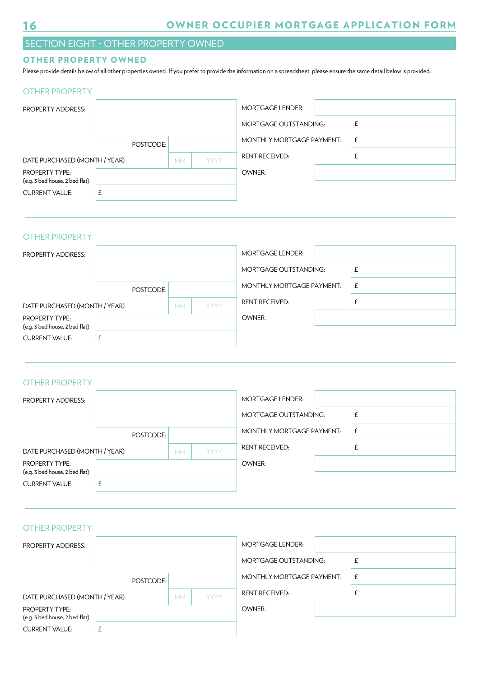## SECTION EIGHT - OTHER PROPERTY OWNED

#### OTHER PROPERTY OWNED

Please provide details below of all other properties owned. If you prefer to provide the information on a spreadsheet, please ensure the same detail below is provided.<br>OTHER PROPERTY

| <b>PROPERTY ADDRESS:</b>                                |           |           |             | <b>MORTGAGE LENDER:</b>      |   |
|---------------------------------------------------------|-----------|-----------|-------------|------------------------------|---|
|                                                         |           |           |             | <b>MORTGAGE OUTSTANDING:</b> |   |
|                                                         | POSTCODE: |           |             | MONTHLY MORTGAGE PAYMENT:    | £ |
| DATE PURCHASED (MONTH / YEAR)                           |           | <b>MM</b> | <b>YYYY</b> | <b>RENT RECEIVED:</b>        |   |
| <b>PROPERTY TYPE:</b><br>(e.g. 3 bed house, 2 bed flat) |           |           |             | OWNER:                       |   |
| <b>CURRENT VALUE:</b>                                   | £         |           |             |                              |   |

#### OTHER PROPERTY

| PROPERTY ADDRESS:                                       |           |           |             | <b>MORTGAGE LENDER:</b>      |   |
|---------------------------------------------------------|-----------|-----------|-------------|------------------------------|---|
|                                                         |           |           |             | <b>MORTGAGE OUTSTANDING:</b> |   |
|                                                         | POSTCODE: |           |             | MONTHLY MORTGAGE PAYMENT:    | £ |
| DATE PURCHASED (MONTH / YEAR)                           |           | <b>MM</b> | <b>YYYY</b> | <b>RENT RECEIVED:</b>        |   |
| <b>PROPERTY TYPE:</b><br>(e.g. 3 bed house, 2 bed flat) |           |           |             | OWNER:                       |   |
| <b>CURRENT VALUE:</b>                                   |           |           |             |                              |   |

#### OTHER PROPERTY

| <b>PROPERTY ADDRESS:</b>                                |           |           |             | <b>MORTGAGE LENDER:</b>      |   |
|---------------------------------------------------------|-----------|-----------|-------------|------------------------------|---|
|                                                         |           |           |             | <b>MORTGAGE OUTSTANDING:</b> | £ |
|                                                         | POSTCODE: |           |             | MONTHLY MORTGAGE PAYMENT:    | £ |
| DATE PURCHASED (MONTH / YEAR)                           |           | <b>MM</b> | <b>YYYY</b> | <b>RENT RECEIVED:</b>        | £ |
| <b>PROPERTY TYPE:</b><br>(e.g. 3 bed house, 2 bed flat) |           |           |             | OWNER:                       |   |
| <b>CURRENT VALUE:</b>                                   |           |           |             |                              |   |

#### OTHER PROPERTY

| <b>PROPERTY ADDRESS:</b>                                |           |           |             | <b>MORTGAGE LENDER:</b>      |   |
|---------------------------------------------------------|-----------|-----------|-------------|------------------------------|---|
|                                                         |           |           |             | <b>MORTGAGE OUTSTANDING:</b> | Ł |
|                                                         | POSTCODE: |           |             | MONTHLY MORTGAGE PAYMENT:    | £ |
| DATE PURCHASED (MONTH / YEAR)                           |           | <b>MM</b> | <b>YYYY</b> | <b>RENT RECEIVED:</b>        | Ł |
| <b>PROPERTY TYPE:</b><br>(e.g. 3 bed house, 2 bed flat) |           |           |             | OWNER:                       |   |
| <b>CURRENT VALUE:</b>                                   |           |           |             |                              |   |